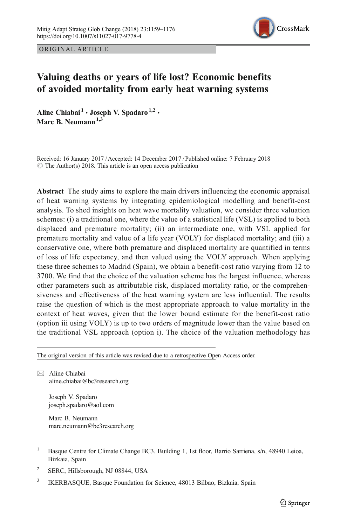

ORIGINAL ARTICLE

# Valuing deaths or years of life lost? Economic benefits of avoided mortality from early heat warning systems

Aline Chiabai<sup>1</sup> · Joseph V. Spadaro<sup>1,2</sup> · Marc B. Neumann<sup>1,3</sup>

Received: 16 January 2017 /Accepted: 14 December 2017 / Published online: 7 February 2018  $\degree$  The Author(s) 2018. This article is an open access publication

Abstract The study aims to explore the main drivers influencing the economic appraisal of heat warning systems by integrating epidemiological modelling and benefit-cost analysis. To shed insights on heat wave mortality valuation, we consider three valuation schemes: (i) a traditional one, where the value of a statistical life (VSL) is applied to both displaced and premature mortality; (ii) an intermediate one, with VSL applied for premature mortality and value of a life year (VOLY) for displaced mortality; and (iii) a conservative one, where both premature and displaced mortality are quantified in terms of loss of life expectancy, and then valued using the VOLY approach. When applying these three schemes to Madrid (Spain), we obtain a benefit-cost ratio varying from 12 to 3700. We find that the choice of the valuation scheme has the largest influence, whereas other parameters such as attributable risk, displaced mortality ratio, or the comprehensiveness and effectiveness of the heat warning system are less influential. The results raise the question of which is the most appropriate approach to value mortality in the context of heat waves, given that the lower bound estimate for the benefit-cost ratio (option iii using VOLY) is up to two orders of magnitude lower than the value based on the traditional VSL approach (option i). The choice of the valuation methodology has

The original version of this article was revised due to a retrospective Open Access order.

 $\boxtimes$  Aline Chiabai [aline.chiabai@bc3research.org](mailto:aline.chiabai@bc3research.org)

> Joseph V. Spadaro joseph.spadaro@aol.com

Marc B. Neumann marc.neumann@bc3research.org

- <sup>1</sup> Basque Centre for Climate Change BC3, Building 1, 1st floor, Barrio Sarriena, s/n, 48940 Leioa, Bizkaia, Spain
- <sup>2</sup> SERC, Hillsborough, NJ 08844, USA
- <sup>3</sup> IKERBASQUE, Basque Foundation for Science, 48013 Bilbao, Bizkaia, Spain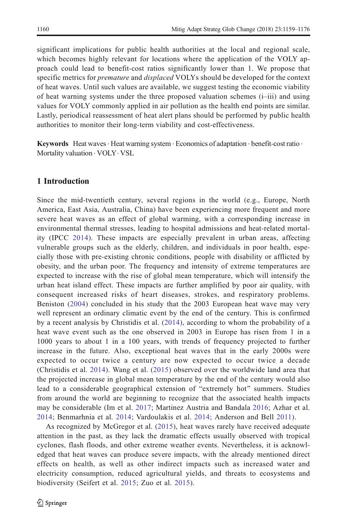significant implications for public health authorities at the local and regional scale, which becomes highly relevant for locations where the application of the VOLY approach could lead to benefit-cost ratios significantly lower than 1. We propose that specific metrics for *premature* and *displaced* VOLYs should be developed for the context of heat waves. Until such values are available, we suggest testing the economic viability of heat warning systems under the three proposed valuation schemes (i–iii) and using values for VOLY commonly applied in air pollution as the health end points are similar. Lastly, periodical reassessment of heat alert plans should be performed by public health authorities to monitor their long-term viability and cost-effectiveness.

Keywords Heat waves. Heat warning system . Economics of adaptation . benefit-cost ratio . Mortality valuation . VOLY. VSL

## 1 Introduction

Since the mid-twentieth century, several regions in the world (e.g., Europe, North America, East Asia, Australia, China) have been experiencing more frequent and more severe heat waves as an effect of global warming, with a corresponding increase in environmental thermal stresses, leading to hospital admissions and heat-related mortality (IPCC [2014](#page-16-0)). These impacts are especially prevalent in urban areas, affecting vulnerable groups such as the elderly, children, and individuals in poor health, especially those with pre-existing chronic conditions, people with disability or afflicted by obesity, and the urban poor. The frequency and intensity of extreme temperatures are expected to increase with the rise of global mean temperature, which will intensify the urban heat island effect. These impacts are further amplified by poor air quality, with consequent increased risks of heart diseases, strokes, and respiratory problems. Beniston ([2004](#page-15-0)) concluded in his study that the 2003 European heat wave may very well represent an ordinary climatic event by the end of the century. This is confirmed by a recent analysis by Christidis et al. [\(2014\)](#page-15-0), according to whom the probability of a heat wave event such as the one observed in 2003 in Europe has risen from 1 in a 1000 years to about 1 in a 100 years, with trends of frequency projected to further increase in the future. Also, exceptional heat waves that in the early 2000s were expected to occur twice a century are now expected to occur twice a decade (Christidis et al. [2014\)](#page-15-0). Wang et al. ([2015\)](#page-17-0) observed over the worldwide land area that the projected increase in global mean temperature by the end of the century would also lead to a considerable geographical extension of "extremely hot" summers. Studies from around the world are beginning to recognize that the associated health impacts may be considerable (Im et al. [2017;](#page-16-0) Martinez Austria and Bandala [2016](#page-16-0); Azhar et al. [2014](#page-15-0); Benmarhnia et al. [2014;](#page-15-0) Vardoulakis et al. [2014;](#page-17-0) Anderson and Bell [2011\)](#page-15-0).

As recognized by McGregor et al. ([2015](#page-16-0)), heat waves rarely have received adequate attention in the past, as they lack the dramatic effects usually observed with tropical cyclones, flash floods, and other extreme weather events. Nevertheless, it is acknowledged that heat waves can produce severe impacts, with the already mentioned direct effects on health, as well as other indirect impacts such as increased water and electricity consumption, reduced agricultural yields, and threats to ecosystems and biodiversity (Seifert et al. [2015;](#page-17-0) Zuo et al. [2015\)](#page-17-0).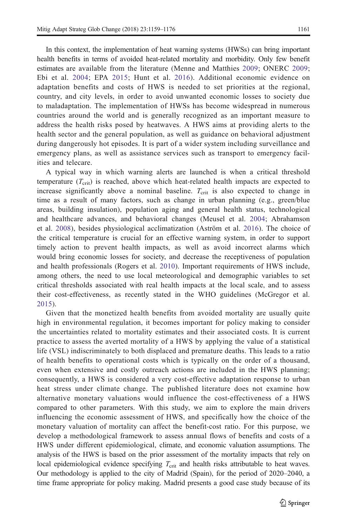In this context, the implementation of heat warning systems (HWSs) can bring important health benefits in terms of avoided heat-related mortality and morbidity. Only few benefit estimates are available from the literature (Menne and Matthies [2009](#page-16-0); ONERC [2009](#page-17-0); Ebi et al. [2004](#page-16-0); EPA [2015](#page-16-0); Hunt et al. [2016](#page-16-0)). Additional economic evidence on adaptation benefits and costs of HWS is needed to set priorities at the regional, country, and city levels, in order to avoid unwanted economic losses to society due to maladaptation. The implementation of HWSs has become widespread in numerous countries around the world and is generally recognized as an important measure to address the health risks posed by heatwaves. A HWS aims at providing alerts to the health sector and the general population, as well as guidance on behavioral adjustment during dangerously hot episodes. It is part of a wider system including surveillance and emergency plans, as well as assistance services such as transport to emergency facilities and telecare.

A typical way in which warning alerts are launched is when a critical threshold temperature  $(T_{\text{crit}})$  is reached, above which heat-related health impacts are expected to increase significantly above a nominal baseline.  $T_{\rm crit}$  is also expected to change in time as a result of many factors, such as change in urban planning (e.g., green/blue areas, building insulation), population aging and general health status, technological and healthcare advances, and behavioral changes (Meusel et al. [2004;](#page-16-0) Abrahamson et al. [2008\)](#page-15-0), besides physiological acclimatization (Aström et al. [2016\)](#page-15-0). The choice of the critical temperature is crucial for an effective warning system, in order to support timely action to prevent health impacts, as well as avoid incorrect alarms which would bring economic losses for society, and decrease the receptiveness of population and health professionals (Rogers et al. [2010\)](#page-17-0). Important requirements of HWS include, among others, the need to use local meteorological and demographic variables to set critical thresholds associated with real health impacts at the local scale, and to assess their cost-effectiveness, as recently stated in the WHO guidelines (McGregor et al. [2015](#page-16-0)).

Given that the monetized health benefits from avoided mortality are usually quite high in environmental regulation, it becomes important for policy making to consider the uncertainties related to mortality estimates and their associated costs. It is current practice to assess the averted mortality of a HWS by applying the value of a statistical life (VSL) indiscriminately to both displaced and premature deaths. This leads to a ratio of health benefits to operational costs which is typically on the order of a thousand, even when extensive and costly outreach actions are included in the HWS planning; consequently, a HWS is considered a very cost-effective adaptation response to urban heat stress under climate change. The published literature does not examine how alternative monetary valuations would influence the cost-effectiveness of a HWS compared to other parameters. With this study, we aim to explore the main drivers influencing the economic assessment of HWS, and specifically how the choice of the monetary valuation of mortality can affect the benefit-cost ratio. For this purpose, we develop a methodological framework to assess annual flows of benefits and costs of a HWS under different epidemiological, climate, and economic valuation assumptions. The analysis of the HWS is based on the prior assessment of the mortality impacts that rely on local epidemiological evidence specifying  $T_{\text{crit}}$  and health risks attributable to heat waves. Our methodology is applied to the city of Madrid (Spain), for the period of 2020–2040, a time frame appropriate for policy making. Madrid presents a good case study because of its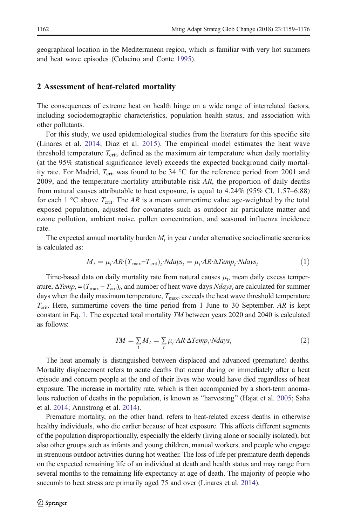<span id="page-3-0"></span>geographical location in the Mediterranean region, which is familiar with very hot summers and heat wave episodes (Colacino and Conte [1995\)](#page-15-0).

### 2 Assessment of heat-related mortality

The consequences of extreme heat on health hinge on a wide range of interrelated factors, including sociodemographic characteristics, population health status, and association with other pollutants.

For this study, we used epidemiological studies from the literature for this specific site (Linares et al. [2014;](#page-16-0) Diaz et al. [2015\)](#page-15-0). The empirical model estimates the heat wave threshold temperature  $T_{\text{crit}}$ , defined as the maximum air temperature when daily mortality (at the 95% statistical significance level) exceeds the expected background daily mortality rate. For Madrid,  $T_{\rm crit}$  was found to be 34 °C for the reference period from 2001 and 2009, and the temperature-mortality attributable risk AR, the proportion of daily deaths from natural causes attributable to heat exposure, is equal to 4.24% (95% CI, 1.57–6.88) for each 1 °C above  $T_{\text{crit}}$ . The AR is a mean summertime value age-weighted by the total exposed population, adjusted for covariates such as outdoor air particulate matter and ozone pollution, ambient noise, pollen concentration, and seasonal influenza incidence rate.

The expected annual mortality burden  $M_t$ , in year t under alternative socioclimatic scenarios is calculated as:

$$
M_t = \mu_t \cdot AR \cdot (T_{\text{max}} - T_{\text{crit}})_t \cdot N days_t = \mu_t \cdot AR \cdot \Delta Temp_t \cdot N days_t \tag{1}
$$

Time-based data on daily mortality rate from natural causes  $\mu$ , mean daily excess temperature,  $\Delta Temp_t = (T_{\text{max}} - T_{\text{crit}})_t$ , and number of heat wave days  $N days_t$  are calculated for summer days when the daily maximum temperature,  $T_{\text{max}}$ , exceeds the heat wave threshold temperature  $T_{\text{crit}}$ . Here, summertime covers the time period from 1 June to 30 September. AR is kept constant in Eq. 1. The expected total mortality TM between years 2020 and 2040 is calculated as follows:

$$
TM = \sum_{t} M_{t} = \sum_{t} \mu_{t} \cdot AR \cdot \Delta Temp_{t} \cdot N days_{t}
$$
\n(2)

The heat anomaly is distinguished between displaced and advanced (premature) deaths. Mortality displacement refers to acute deaths that occur during or immediately after a heat episode and concern people at the end of their lives who would have died regardless of heat exposure. The increase in mortality rate, which is then accompanied by a short-term anoma-lous reduction of deaths in the population, is known as "harvesting" (Hajat et al. [2005](#page-16-0); Saha et al. [2014](#page-17-0); Armstrong et al. [2014\)](#page-15-0).

Premature mortality, on the other hand, refers to heat-related excess deaths in otherwise healthy individuals, who die earlier because of heat exposure. This affects different segments of the population disproportionally, especially the elderly (living alone or socially isolated), but also other groups such as infants and young children, manual workers, and people who engage in strenuous outdoor activities during hot weather. The loss of life per premature death depends on the expected remaining life of an individual at death and health status and may range from several months to the remaining life expectancy at age of death. The majority of people who succumb to heat stress are primarily aged 75 and over (Linares et al. [2014\)](#page-16-0).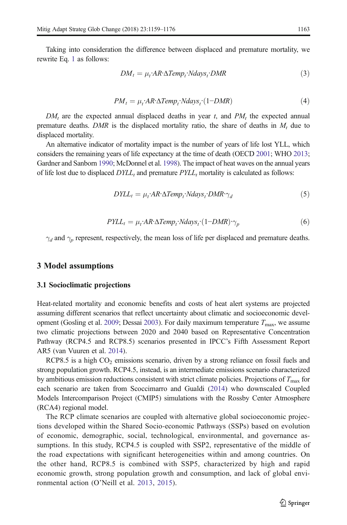Taking into consideration the difference between displaced and premature mortality, we rewrite Eq. [1](#page-3-0) as follows:

$$
DM_t = \mu_t \cdot AR \cdot \Delta Temp_t \cdot N days_t \cdot DMR \tag{3}
$$

$$
PM_t = \mu_t \cdot AR \cdot \Delta Temp_t \cdot N days_t \cdot (1 - DMR) \tag{4}
$$

 $DM<sub>t</sub>$  are the expected annual displaced deaths in year t, and  $PM<sub>t</sub>$  the expected annual premature deaths. DMR is the displaced mortality ratio, the share of deaths in  $M_t$  due to displaced mortality.

An alternative indicator of mortality impact is the number of years of life lost YLL, which considers the remaining years of life expectancy at the time of death (OECD [2001;](#page-17-0) WHO [2013](#page-17-0); Gardner and Sanborn [1990;](#page-16-0) McDonnel et al. [1998\)](#page-16-0). The impact of heat waves on the annual years of life lost due to displaced  $DYLL_t$  and premature  $PYLL_t$  mortality is calculated as follows:

$$
DYLL_t = \mu_t \cdot AR \cdot \Delta Temp_t \cdot N days_t \cdot DMR \cdot \gamma_d \tag{5}
$$

$$
PYLL_t = \mu_t \cdot AR \cdot \Delta Temp_t \cdot N days_t \cdot (1 - DMR) \cdot \gamma_p \tag{6}
$$

 $\gamma_d$  and  $\gamma_p$  represent, respectively, the mean loss of life per displaced and premature deaths.

### 3 Model assumptions

#### 3.1 Socioclimatic projections

Heat-related mortality and economic benefits and costs of heat alert systems are projected assuming different scenarios that reflect uncertainty about climatic and socioeconomic devel-opment (Gosling et al. [2009](#page-16-0); Dessai [2003\)](#page-15-0). For daily maximum temperature  $T_{\text{max}}$ , we assume two climatic projections between 2020 and 2040 based on Representative Concentration Pathway (RCP4.5 and RCP8.5) scenarios presented in IPCC's Fifth Assessment Report AR5 (van Vuuren et al. [2014\)](#page-17-0).

RCP8.5 is a high  $CO<sub>2</sub>$  emissions scenario, driven by a strong reliance on fossil fuels and strong population growth. RCP4.5, instead, is an intermediate emissions scenario characterized by ambitious emission reductions consistent with strict climate policies. Projections of  $T_{\text{max}}$  for each scenario are taken from Scoccimarro and Gualdi [\(2014](#page-17-0)) who downscaled Coupled Models Intercomparison Project (CMIP5) simulations with the Rossby Center Atmosphere (RCA4) regional model.

The RCP climate scenarios are coupled with alternative global socioeconomic projections developed within the Shared Socio-economic Pathways (SSPs) based on evolution of economic, demographic, social, technological, environmental, and governance assumptions. In this study, RCP4.5 is coupled with SSP2, representative of the middle of the road expectations with significant heterogeneities within and among countries. On the other hand, RCP8.5 is combined with SSP5, characterized by high and rapid economic growth, strong population growth and consumption, and lack of global environmental action (O'Neill et al. [2013,](#page-17-0) [2015\)](#page-17-0).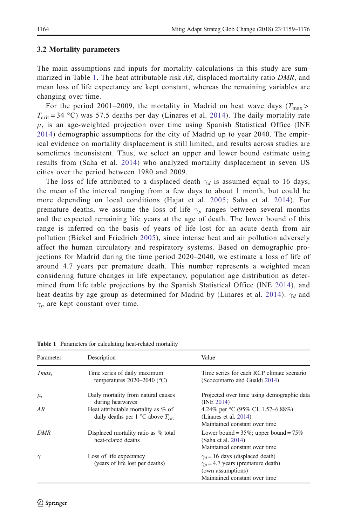### 3.2 Mortality parameters

The main assumptions and inputs for mortality calculations in this study are summarized in Table 1. The heat attributable risk AR, displaced mortality ratio  $DMR$ , and mean loss of life expectancy are kept constant, whereas the remaining variables are changing over time.

For the period 2001–2009, the mortality in Madrid on heat wave days ( $T_{\text{max}}$ )  $T_{\text{crit}}$  = 34 °C) was 57.5 deaths per day (Linares et al. [2014\)](#page-16-0). The daily mortality rate  $\mu_t$  is an age-weighted projection over time using Spanish Statistical Office (INE) [2014\)](#page-16-0) demographic assumptions for the city of Madrid up to year 2040. The empirical evidence on mortality displacement is still limited, and results across studies are sometimes inconsistent. Thus, we select an upper and lower bound estimate using results from (Saha et al. [2014\)](#page-17-0) who analyzed mortality displacement in seven US cities over the period between 1980 and 2009.

The loss of life attributed to a displaced death  $\gamma_d$  is assumed equal to 16 days, the mean of the interval ranging from a few days to about 1 month, but could be more depending on local conditions (Hajat et al. [2005;](#page-16-0) Saha et al. [2014\)](#page-17-0). For premature deaths, we assume the loss of life  $\gamma_p$  ranges between several months and the expected remaining life years at the age of death. The lower bound of this range is inferred on the basis of years of life lost for an acute death from air pollution (Bickel and Friedrich [2005\)](#page-15-0), since intense heat and air pollution adversely affect the human circulatory and respiratory systems. Based on demographic projections for Madrid during the time period 2020–2040, we estimate a loss of life of around 4.7 years per premature death. This number represents a weighted mean considering future changes in life expectancy, population age distribution as determined from life table projections by the Spanish Statistical Office (INE [2014\)](#page-16-0), and heat deaths by age group as determined for Madrid by (Linares et al. [2014\)](#page-16-0).  $\gamma_d$  and  $\gamma_p$  are kept constant over time.

| Parameter | Description                                                                                   | Value                                                                                                                                    |
|-----------|-----------------------------------------------------------------------------------------------|------------------------------------------------------------------------------------------------------------------------------------------|
| $Tmax_t$  | Time series of daily maximum<br>temperatures $2020-2040$ (°C)                                 | Time series for each RCP climate scenario<br>(Scoccimarro and Gualdi 2014)                                                               |
| $\mu_t$   | Daily mortality from natural causes<br>during heatwaves                                       | Projected over time using demographic data<br>(INE $2014$ )                                                                              |
| AR        | Heat attributable mortality as % of<br>daily deaths per 1 $\degree$ C above $T_{\text{crit}}$ | 4.24% per $\degree$ C (95% CI, 1.57–6.88%)<br>(Linares et al. 2014)<br>Maintained constant over time                                     |
| DMR       | Displaced mortality ratio as % total<br>heat-related deaths                                   | Lower bound = $35\%$ ; upper bound = $75\%$<br>(Saha et al. 2014)<br>Maintained constant over time                                       |
| $\gamma$  | Loss of life expectancy<br>(years of life lost per deaths)                                    | $\gamma_d$ = 16 days (displaced death)<br>$\gamma_p = 4.7$ years (premature death)<br>(own assumptions)<br>Maintained constant over time |

Table 1 Parameters for calculating heat-related mortality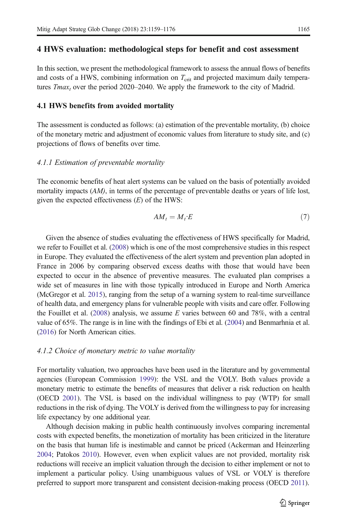### <span id="page-6-0"></span>4 HWS evaluation: methodological steps for benefit and cost assessment

In this section, we present the methodological framework to assess the annual flows of benefits and costs of a HWS, combining information on  $T_{\text{crit}}$  and projected maximum daily temperatures  $Tmax_t$  over the period 2020–2040. We apply the framework to the city of Madrid.

#### 4.1 HWS benefits from avoided mortality

The assessment is conducted as follows: (a) estimation of the preventable mortality, (b) choice of the monetary metric and adjustment of economic values from literature to study site, and (c) projections of flows of benefits over time.

#### 4.1.1 Estimation of preventable mortality

The economic benefits of heat alert systems can be valued on the basis of potentially avoided mortality impacts  $(AM)$ , in terms of the percentage of preventable deaths or years of life lost, given the expected effectiveness  $(E)$  of the HWS:

$$
AM_t = M_t \cdot E \tag{7}
$$

Given the absence of studies evaluating the effectiveness of HWS specifically for Madrid, we refer to Fouillet et al. [\(2008\)](#page-16-0) which is one of the most comprehensive studies in this respect in Europe. They evaluated the effectiveness of the alert system and prevention plan adopted in France in 2006 by comparing observed excess deaths with those that would have been expected to occur in the absence of preventive measures. The evaluated plan comprises a wide set of measures in line with those typically introduced in Europe and North America (McGregor et al. [2015](#page-16-0)), ranging from the setup of a warning system to real-time surveillance of health data, and emergency plans for vulnerable people with visits and care offer. Following the Fouillet et al. ([2008](#page-16-0)) analysis, we assume  $E$  varies between 60 and 78%, with a central value of 65%. The range is in line with the findings of Ebi et al. ([2004](#page-16-0)) and Benmarhnia et al. ([2016](#page-15-0)) for North American cities.

#### 4.1.2 Choice of monetary metric to value mortality

For mortality valuation, two approaches have been used in the literature and by governmental agencies (European Commission [1999](#page-16-0)): the VSL and the VOLY. Both values provide a monetary metric to estimate the benefits of measures that deliver a risk reduction on health (OECD [2001\)](#page-17-0). The VSL is based on the individual willingness to pay (WTP) for small reductions in the risk of dying. The VOLY is derived from the willingness to pay for increasing life expectancy by one additional year.

Although decision making in public health continuously involves comparing incremental costs with expected benefits, the monetization of mortality has been criticized in the literature on the basis that human life is inestimable and cannot be priced (Ackerman and Heinzerling [2004](#page-15-0); Patokos [2010\)](#page-17-0). However, even when explicit values are not provided, mortality risk reductions will receive an implicit valuation through the decision to either implement or not to implement a particular policy. Using unambiguous values of VSL or VOLY is therefore preferred to support more transparent and consistent decision-making process (OECD [2011\)](#page-17-0).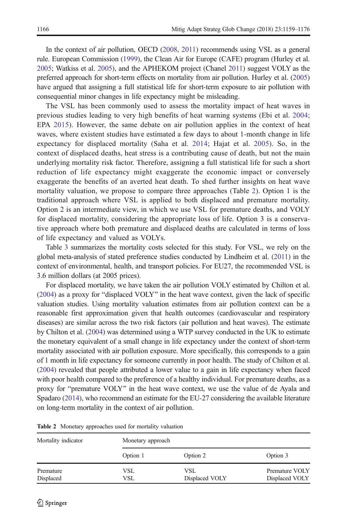In the context of air pollution, OECD [\(2008,](#page-17-0) [2011](#page-17-0)) recommends using VSL as a general rule. European Commission ([1999](#page-16-0)), the Clean Air for Europe (CAFE) program (Hurley et al. [2005](#page-16-0); Watkiss et al. [2005](#page-17-0)), and the APHEKOM project (Chanel [2011\)](#page-15-0) suggest VOLY as the preferred approach for short-term effects on mortality from air pollution. Hurley et al. [\(2005\)](#page-16-0) have argued that assigning a full statistical life for short-term exposure to air pollution with consequential minor changes in life expectancy might be misleading.

The VSL has been commonly used to assess the mortality impact of heat waves in previous studies leading to very high benefits of heat warning systems (Ebi et al. [2004](#page-16-0); EPA [2015](#page-16-0)). However, the same debate on air pollution applies in the context of heat waves, where existent studies have estimated a few days to about 1-month change in life expectancy for displaced mortality (Saha et al. [2014](#page-17-0); Hajat et al. [2005](#page-16-0)). So, in the context of displaced deaths, heat stress is a contributing cause of death, but not the main underlying mortality risk factor. Therefore, assigning a full statistical life for such a short reduction of life expectancy might exaggerate the economic impact or conversely exaggerate the benefits of an averted heat death. To shed further insights on heat wave mortality valuation, we propose to compare three approaches (Table 2). Option 1 is the traditional approach where VSL is applied to both displaced and premature mortality. Option 2 is an intermediate view, in which we use VSL for premature deaths, and VOLY for displaced mortality, considering the appropriate loss of life. Option 3 is a conservative approach where both premature and displaced deaths are calculated in terms of loss of life expectancy and valued as VOLYs.

Table [3](#page-8-0) summarizes the mortality costs selected for this study. For VSL, we rely on the global meta-analysis of stated preference studies conducted by Lindheim et al. [\(2011](#page-16-0)) in the context of environmental, health, and transport policies. For EU27, the recommended VSL is 3.6 million dollars (at 2005 prices).

For displaced mortality, we have taken the air pollution VOLY estimated by Chilton et al.  $(2004)$  $(2004)$  $(2004)$  as a proxy for "displaced VOLY" in the heat wave context, given the lack of specific valuation studies. Using mortality valuation estimates from air pollution context can be a reasonable first approximation given that health outcomes (cardiovascular and respiratory diseases) are similar across the two risk factors (air pollution and heat waves). The estimate by Chilton et al. ([2004](#page-15-0)) was determined using a WTP survey conducted in the UK to estimate the monetary equivalent of a small change in life expectancy under the context of short-term mortality associated with air pollution exposure. More specifically, this corresponds to a gain of 1 month in life expectancy for someone currently in poor health. The study of Chilton et al. ([2004](#page-15-0)) revealed that people attributed a lower value to a gain in life expectancy when faced with poor health compared to the preference of a healthy individual. For premature deaths, as a proxy for "premature VOLY" in the heat wave context, we use the value of de Ayala and Spadaro [\(2014](#page-15-0)), who recommend an estimate for the EU-27 considering the available literature on long-term mortality in the context of air pollution.

| Mortality indicator    | Monetary approach |                       |                                  |  |
|------------------------|-------------------|-----------------------|----------------------------------|--|
|                        | Option 1          | Option 2              | Option 3                         |  |
| Premature<br>Displaced | VSL<br>VSL        | VSL<br>Displaced VOLY | Premature VOLY<br>Displaced VOLY |  |

Table 2 Monetary approaches used for mortality valuation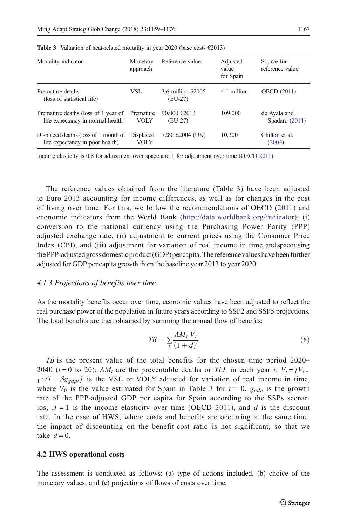| Mortality indicator                                                               | Monetary<br>approach | Reference value                   | Adjusted<br>value<br>for Spain | Source for<br>reference value    |
|-----------------------------------------------------------------------------------|----------------------|-----------------------------------|--------------------------------|----------------------------------|
| Premature deaths<br>(loss of statistical life)                                    | VSL                  | 3.6 million \$2005<br>(EU-27)     | 4.1 million                    | <b>OECD</b> (2011)               |
| Premature deaths (loss of 1 year of<br>life expectancy in normal health)          | Premature<br>VOLY    | 90,000 $\epsilon$ 2013<br>(EU-27) | 109,000                        | de Ayala and<br>Spadaro $(2014)$ |
| Displaced deaths (loss of 1 month of Displaced<br>life expectancy in poor health) | VOLY                 | 7280 £2004 (UK)                   | 10,300                         | Chilton et al.<br>(2004)         |

<span id="page-8-0"></span>Table 3 Valuation of heat-related mortality in year 2020 (base costs  $\epsilon$ 2013)

Income elasticity is 0.8 for adjustment over space and 1 for adjustment over time (OECD [2011\)](#page-17-0)

The reference values obtained from the literature (Table 3) have been adjusted to Euro 2013 accounting for income differences, as well as for changes in the cost of living over time. For this, we follow the recommendations of OECD ([2011](#page-17-0)) and economic indicators from the World Bank [\(http://data.worldbank.org/indicator\)](http://data.worldbank.org/indicator): (i) conversion to the national currency using the Purchasing Power Parity (PPP) adjusted exchange rate, (ii) adjustment to current prices using the Consumer Price Index (CPI), and (iii) adjustment for variation of real income in time and space using thePPP-adjusted gross domestic product (GDP) percapita.The reference values have been further adjusted for GDP per capita growth from the baseline year 2013 to year 2020.

#### 4.1.3 Projections of benefits over time

As the mortality benefits occur over time, economic values have been adjusted to reflect the real purchase power of the population in future years according to SSP2 and SSP5 projections. The total benefits are then obtained by summing the annual flow of benefits:

$$
TB = \sum_{t} \frac{AM_t \cdot V_t}{(1+d)^t} \tag{8}
$$

TB is the present value of the total benefits for the chosen time period 2020– 2040 (t = 0 to 20);  $AM_t$  are the preventable deaths or YLL in each year t;  $V_t = V_t 1 \cdot (1 + \beta g_{\text{edn}})$  is the VSL or VOLY adjusted for variation of real income in time, where  $V_0$  is the value estimated for Spain in Table 3 for  $t = 0$ .  $g_{\text{gd}p}$  is the growth rate of the PPP-adjusted GDP per capita for Spain according to the SSPs scenarios,  $\beta = 1$  is the income elasticity over time (OECD [2011\)](#page-17-0), and d is the discount rate. In the case of HWS, where costs and benefits are occurring at the same time, the impact of discounting on the benefit-cost ratio is not significant, so that we take  $d = 0$ .

#### 4.2 HWS operational costs

The assessment is conducted as follows: (a) type of actions included, (b) choice of the monetary values, and (c) projections of flows of costs over time.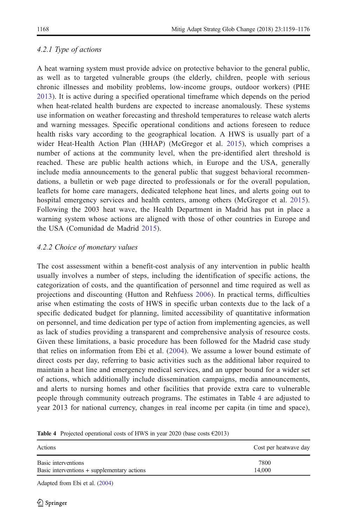## <span id="page-9-0"></span>4.2.1 Type of actions

A heat warning system must provide advice on protective behavior to the general public, as well as to targeted vulnerable groups (the elderly, children, people with serious chronic illnesses and mobility problems, low-income groups, outdoor workers) (PHE [2013](#page-17-0)). It is active during a specified operational timeframe which depends on the period when heat-related health burdens are expected to increase anomalously. These systems use information on weather forecasting and threshold temperatures to release watch alerts and warning messages. Specific operational conditions and actions foreseen to reduce health risks vary according to the geographical location. A HWS is usually part of a wider Heat-Health Action Plan (HHAP) (McGregor et al. [2015\)](#page-16-0), which comprises a number of actions at the community level, when the pre-identified alert threshold is reached. These are public health actions which, in Europe and the USA, generally include media announcements to the general public that suggest behavioral recommendations, a bulletin or web page directed to professionals or for the overall population, leaflets for home care managers, dedicated telephone heat lines, and alerts going out to hospital emergency services and health centers, among others (McGregor et al. [2015](#page-16-0)). Following the 2003 heat wave, the Health Department in Madrid has put in place a warning system whose actions are aligned with those of other countries in Europe and the USA (Comunidad de Madrid [2015\)](#page-15-0).

### 4.2.2 Choice of monetary values

The cost assessment within a benefit-cost analysis of any intervention in public health usually involves a number of steps, including the identification of specific actions, the categorization of costs, and the quantification of personnel and time required as well as projections and discounting (Hutton and Rehfuess [2006](#page-16-0)). In practical terms, difficulties arise when estimating the costs of HWS in specific urban contexts due to the lack of a specific dedicated budget for planning, limited accessibility of quantitative information on personnel, and time dedication per type of action from implementing agencies, as well as lack of studies providing a transparent and comprehensive analysis of resource costs. Given these limitations, a basic procedure has been followed for the Madrid case study that relies on information from Ebi et al. [\(2004\)](#page-16-0). We assume a lower bound estimate of direct costs per day, referring to basic activities such as the additional labor required to maintain a heat line and emergency medical services, and an upper bound for a wider set of actions, which additionally include dissemination campaigns, media announcements, and alerts to nursing homes and other facilities that provide extra care to vulnerable people through community outreach programs. The estimates in Table 4 are adjusted to year 2013 for national currency, changes in real income per capita (in time and space),

| Actions                                     | Cost per heatwave day |
|---------------------------------------------|-----------------------|
| Basic interventions                         | 7800                  |
| Basic interventions + supplementary actions | 14,000                |

Table 4 Projected operational costs of HWS in year 2020 (base costs  $\epsilon$ 2013)

Adapted from Ebi et al. [\(2004\)](#page-16-0)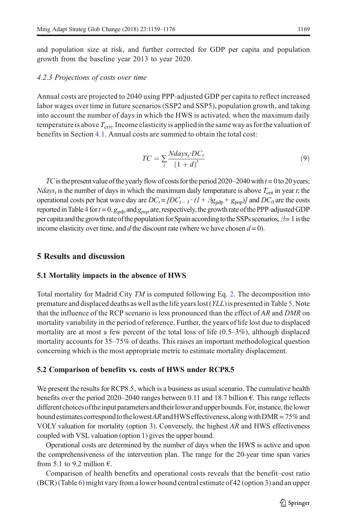and population size at risk, and further corrected for GDP per capita and population growth from the baseline year 2013 to year 2020.

#### 4.2.3 Projections of costs over time

Annual costs are projected to 2040 using PPP-adjusted GDP per capita to reflect increased labor wages over time in future scenarios (SSP2 and SSP5), population growth, and taking into account the number of days in which the HWS is activated, when the maximum daily temperature is above  $T_{\text{crit}}$ . Income elasticity is applied in the same way as for the valuation of benefits in Section [4.1](#page-6-0). Annual costs are summed to obtain the total cost:

$$
TC = \sum_{t} \frac{N days_t \cdot DC_t}{(1+d)^t} \tag{9}
$$

TC is the present value of the yearly flow of costs for the period 2020–2040 with  $t = 0$  to 20 years;  $N days<sub>t</sub>$  is the number of days in which the maximum daily temperature is above  $T_{\text{crit}}$  in year t; the operational costs per heat wave day are  $DC_t = [DC_{t-1} \cdot (1 + \beta g_{\text{edp}} + g_{\text{loop}})]$  and  $DC_0$  are the costs reported in Table [4](#page-9-0) for  $t = 0$ .  $g_{\text{gdp}}$  and  $g_{\text{pop}}$  are, respectively, the growth rate of the PPP-adjusted GDP per capita and the growth rate of the population for Spain according to the SSPs scenarios,  $\beta = 1$  is the income elasticity over time, and d the discount rate (where we have chosen  $d = 0$ ).

## 5 Results and discussion

#### 5.1 Mortality impacts in the absence of HWS

Total mortality for Madrid City  $TM$  is computed following Eq. [2](#page-3-0). The decomposition into premature and displaced deaths as well as the life years lost (YLL) is presented in Table [5](#page-11-0). Note that the influence of the RCP scenario is less pronounced than the effect of AR and DMR on mortality variability in the period of reference. Further, the years of life lost due to displaced mortality are at most a few percent of the total loss of life  $(0.5-3\%)$ , although displaced mortality accounts for 35–75% of deaths. This raises an important methodological question concerning which is the most appropriate metric to estimate mortality displacement.

#### 5.2 Comparison of benefits vs. costs of HWS under RCP8.5

We present the results for RCP8.5, which is a business as usual scenario. The cumulative health benefits over the period 2020–2040 ranges between 0.11 and 18.7 billion  $\epsilon$ . This range reflects different choices of the input parameters and their lower and upper bounds. For, instance, the lower bound estimates correspond to the lowest AR and HWS effectiveness, along with DMR =  $75\%$  and VOLY valuation for mortality (option 3). Conversely, the highest AR and HWS effectiveness coupled with VSL valuation (option 1) gives the upper bound.

Operational costs are determined by the number of days when the HWS is active and upon the comprehensiveness of the intervention plan. The range for the 20-year time span varies from 5.1 to 9.2 million  $\epsilon$ .

Comparison of health benefits and operational costs reveals that the benefit–cost ratio (BCR) (Table [6](#page-12-0)) might vary from a lower bound central estimate of 42 (option 3) and an upper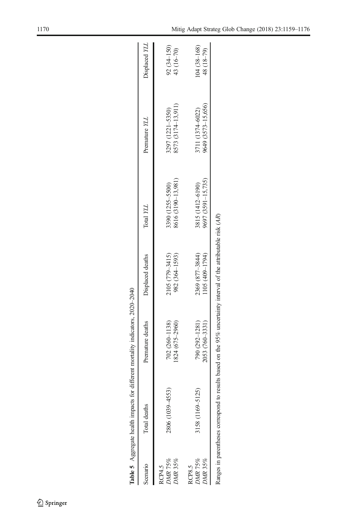<span id="page-11-0"></span>

|                              | Table 5 Aggregate health impacts for different mortality indicators, 2020–2040                                  |                                   |                                    |                                        |                                        |                             |
|------------------------------|-----------------------------------------------------------------------------------------------------------------|-----------------------------------|------------------------------------|----------------------------------------|----------------------------------------|-----------------------------|
| Scenario                     | Total deaths                                                                                                    | Premature deaths                  | Displaced deaths                   | Total YLL                              | Premature <i>YLL</i>                   | Displaced YLL               |
| DMR 75%<br>DMR 35%<br>RCP4.5 | 2806 (1039-4553)                                                                                                | (824 (675-2960)<br>702 (260-1138) | 2105 (779–3415)<br>982 (364-1593)  | 8616 (3190-13,981)<br>3390 (1255–5500) | 8573 (3174–13,911)<br>3297 (1221–5350) | $92(34-150)$<br>43 (16-70)  |
| DMR 35%<br>DMR 75%<br>RCP8.5 | 3158 (1169-5125)                                                                                                | 790 (292-1281)<br>2053 (760-3331) | 2369 (877-3844)<br>1105 (409-1794) | 9697 (3591-15,735)<br>3815 (1412-6190) | 9649 (3573-15,656)<br>3711 (1374-6022) | $104(38-168)$<br>48 (18-79) |
|                              | Ranges in parentheses correspond to results based on the 95% uncertainty interval of the attributable risk (AR) |                                   |                                    |                                        |                                        |                             |

| ï<br>į                                                                                                          |
|-----------------------------------------------------------------------------------------------------------------|
| ֖֖֖֖֧֧֖֖֧֧ׅ֧֪ׅ֧֚֚֚֚֚֚֚֚֚֚֚֚֚֚֚֚֚֚֚֚֚֚֚֚֚֚֚֚֚֚֚֚֚֬֝֝֓֞֝֓֞֝֬֝֬<br>l                                               |
| ı                                                                                                               |
| j<br>ı<br>ï                                                                                                     |
| į<br>è<br>í                                                                                                     |
| 3<br><b>NATION</b><br>Ì                                                                                         |
| ì                                                                                                               |
|                                                                                                                 |
| ֖֖֖֖֖֖֖֧֪ׅ֪֪ׅ֚֚֚֚֚֚֚֚֚֚֚֚֚֚֚֚֚֚֚֚֚֚֚֚֚֚֚֚֚֬֝֓֓֬<br>I<br>l<br>j<br>ł<br>ı<br>j<br>j                              |
| į<br>ł<br>l                                                                                                     |
|                                                                                                                 |
| ֖֖֖֖֖֖֧ׅ֖֧֪֪ׅ֖֧֚֚֚֚֚֚֚֚֚֚֚֚֚֚֚֚֚֚֚֚֚֚֚֚֚֚֚֚֚֬֝֝֓֞<br>l<br>֖֖֖֖֧ׅׅׅ֧ׅ֪֪ׅ֚֚֚֚֚֚֚֚֚֚֚֚֚֚֚֚֚֚֚֚֚֚֚֚֚֡֝֝֬֝֬֓֞֓֬<br>í |
| ı                                                                                                               |
| $\mathbf{1}$                                                                                                    |
| j<br>ij<br>Ji<br>į<br>ì<br>cang<br>ż<br>I<br>ä                                                                  |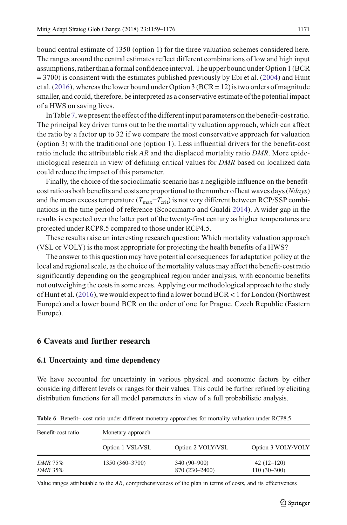<span id="page-12-0"></span>bound central estimate of 1350 (option 1) for the three valuation schemes considered here. The ranges around the central estimates reflect different combinations of low and high input assumptions, rather than a formal confidence interval. The upper bound under Option 1 (BCR  $= 3700$ ) is consistent with the estimates published previously by Ebi et al. ([2004](#page-16-0)) and Hunt et al. ([2016](#page-16-0)), whereas the lower bound under Option 3 (BCR = 12) is two orders of magnitude smaller, and could, therefore, be interpreted as a conservative estimate of the potential impact of a HWS on saving lives.

In Table [7](#page-13-0), we present the effect of the different input parameters on the benefit-cost ratio. The principal key driver turns out to be the mortality valuation approach, which can affect the ratio by a factor up to 32 if we compare the most conservative approach for valuation (option 3) with the traditional one (option 1). Less influential drivers for the benefit-cost ratio include the attributable risk  $AR$  and the displaced mortality ratio  $DMR$ . More epidemiological research in view of defining critical values for DMR based on localized data could reduce the impact of this parameter.

Finally, the choice of the socioclimatic scenario has a negligible influence on the benefitcost ratio as both benefits and costs are proportional to the number of heat waves days (Ndays) and the mean excess temperature ( $T_{\text{max}}-T_{\text{crit}}$ ) is not very different between RCP/SSP combinations in the time period of reference (Scoccimarro and Gualdi [2014\)](#page-17-0). A wider gap in the results is expected over the latter part of the twenty-first century as higher temperatures are projected under RCP8.5 compared to those under RCP4.5.

These results raise an interesting research question: Which mortality valuation approach (VSL or VOLY) is the most appropriate for projecting the health benefits of a HWS?

The answer to this question may have potential consequences for adaptation policy at the local and regional scale, as the choice of the mortality values may affect the benefit-cost ratio significantly depending on the geographical region under analysis, with economic benefits not outweighing the costs in some areas. Applying our methodological approach to the study of Hunt et al. [\(2016\)](#page-16-0), we would expect to find a lower bound BCR < 1 for London (Northwest Europe) and a lower bound BCR on the order of one for Prague, Czech Republic (Eastern Europe).

## 6 Caveats and further research

## 6.1 Uncertainty and time dependency

We have accounted for uncertainty in various physical and economic factors by either considering different levels or ranges for their values. This could be further refined by eliciting distribution functions for all model parameters in view of a full probabilistic analysis.

| Benefit-cost ratio | Monetary approach |                                |                               |  |
|--------------------|-------------------|--------------------------------|-------------------------------|--|
|                    | Option 1 VSL/VSL  | Option 2 VOLY/VSL              | Option 3 VOLY/VOLY            |  |
| DMR 75%<br>DMR 35% | 1350 (360–3700)   | 340 (90–900)<br>870 (230-2400) | $42(12-120)$<br>$110(30-300)$ |  |

Table 6 Benefit– cost ratio under different monetary approaches for mortality valuation under RCP8.5

Value ranges attributable to the AR, comprehensiveness of the plan in terms of costs, and its effectiveness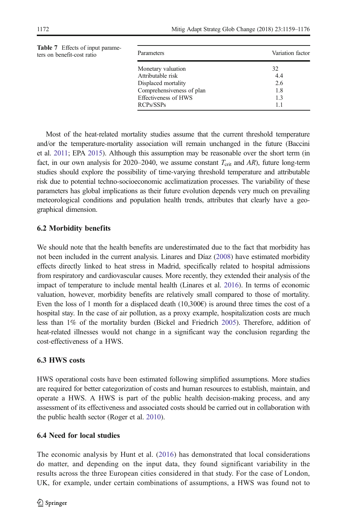<span id="page-13-0"></span>

| <b>Table 7</b> Effects of input parame-<br>ters on benefit-cost ratio | Parameters                | Variation factor |
|-----------------------------------------------------------------------|---------------------------|------------------|
|                                                                       | Monetary valuation        | 32               |
|                                                                       | Attributable risk         | 4.4              |
|                                                                       | Displaced mortality       | 2.6              |
|                                                                       | Comprehensiveness of plan | 1.8              |
|                                                                       | Effectiveness of HWS      | 1.3              |
|                                                                       | RCPs/SSPs                 | 1.1              |

Most of the heat-related mortality studies assume that the current threshold temperature and/or the temperature-mortality association will remain unchanged in the future (Baccini et al. [2011](#page-15-0); EPA [2015\)](#page-16-0). Although this assumption may be reasonable over the short term (in fact, in our own analysis for 2020–2040, we assume constant  $T_{\text{crit}}$  and AR), future long-term studies should explore the possibility of time-varying threshold temperature and attributable risk due to potential techno-socioeconomic acclimatization processes. The variability of these parameters has global implications as their future evolution depends very much on prevailing meteorological conditions and population health trends, attributes that clearly have a geographical dimension.

## 6.2 Morbidity benefits

We should note that the health benefits are underestimated due to the fact that morbidity has not been included in the current analysis. Linares and Díaz ([2008](#page-16-0)) have estimated morbidity effects directly linked to heat stress in Madrid, specifically related to hospital admissions from respiratory and cardiovascular causes. More recently, they extended their analysis of the impact of temperature to include mental health (Linares et al. [2016](#page-16-0)). In terms of economic valuation, however, morbidity benefits are relatively small compared to those of mortality. Even the loss of 1 month for a displaced death  $(10,300\epsilon)$  is around three times the cost of a hospital stay. In the case of air pollution, as a proxy example, hospitalization costs are much less than 1% of the mortality burden (Bickel and Friedrich [2005](#page-15-0)). Therefore, addition of heat-related illnesses would not change in a significant way the conclusion regarding the cost-effectiveness of a HWS.

## 6.3 HWS costs

HWS operational costs have been estimated following simplified assumptions. More studies are required for better categorization of costs and human resources to establish, maintain, and operate a HWS. A HWS is part of the public health decision-making process, and any assessment of its effectiveness and associated costs should be carried out in collaboration with the public health sector (Roger et al. [2010\)](#page-17-0).

## 6.4 Need for local studies

The economic analysis by Hunt et al. ([2016](#page-16-0)) has demonstrated that local considerations do matter, and depending on the input data, they found significant variability in the results across the three European cities considered in that study. For the case of London, UK, for example, under certain combinations of assumptions, a HWS was found not to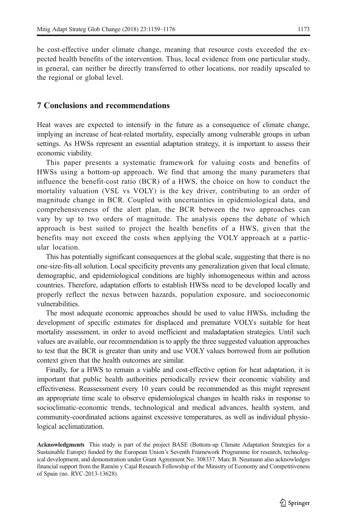be cost-effective under climate change, meaning that resource costs exceeded the expected health benefits of the intervention. Thus, local evidence from one particular study, in general, can neither be directly transferred to other locations, nor readily upscaled to the regional or global level.

### 7 Conclusions and recommendations

Heat waves are expected to intensify in the future as a consequence of climate change, implying an increase of heat-related mortality, especially among vulnerable groups in urban settings. As HWSs represent an essential adaptation strategy, it is important to assess their economic viability.

This paper presents a systematic framework for valuing costs and benefits of HWSs using a bottom-up approach. We find that among the many parameters that influence the benefit-cost ratio (BCR) of a HWS, the choice on how to conduct the mortality valuation (VSL vs VOLY) is the key driver, contributing to an order of magnitude change in BCR. Coupled with uncertainties in epidemiological data, and comprehensiveness of the alert plan, the BCR between the two approaches can vary by up to two orders of magnitude. The analysis opens the debate of which approach is best suited to project the health benefits of a HWS, given that the benefits may not exceed the costs when applying the VOLY approach at a particular location.

This has potentially significant consequences at the global scale, suggesting that there is no one-size-fits-all solution. Local specificity prevents any generalization given that local climate, demographic, and epidemiological conditions are highly inhomogeneous within and across countries. Therefore, adaptation efforts to establish HWSs need to be developed locally and properly reflect the nexus between hazards, population exposure, and socioeconomic vulnerabilities.

The most adequate economic approaches should be used to value HWSs, including the development of specific estimates for displaced and premature VOLYs suitable for heat mortality assessment, in order to avoid inefficient and maladaptation strategies. Until such values are available, our recommendation is to apply the three suggested valuation approaches to test that the BCR is greater than unity and use VOLY values borrowed from air pollution context given that the health outcomes are similar.

Finally, for a HWS to remain a viable and cost-effective option for heat adaptation, it is important that public health authorities periodically review their economic viability and effectiveness. Reassessment every 10 years could be recommended as this might represent an appropriate time scale to observe epidemiological changes in health risks in response to socioclimatic-economic trends, technological and medical advances, health system, and community-coordinated actions against excessive temperatures, as well as individual physiological acclimatization.

Acknowledgments This study is part of the project BASE (Bottom-up Climate Adaptation Strategies for a Sustainable Europe) funded by the European Union's Seventh Framework Programme for research, technological development, and demonstration under Grant Agreement No. 308337. Marc B. Neumann also acknowledges financial support from the Ramón y Cajal Research Fellowship of the Ministry of Economy and Competitiveness of Spain (no. RYC-2013-13628).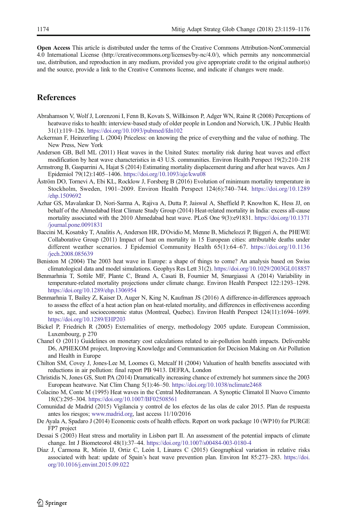<span id="page-15-0"></span>Open Access This article is distributed under the terms of the Creative Commons Attribution-NonCommercial 4.0 International License (http://creativecommons.org/licenses/by-nc/4.0/), which permits any noncommercial use, distribution, and reproduction in any medium, provided you give appropriate credit to the original author(s) and the source, provide a link to the Creative Commons license, and indicate if changes were made.

## References

- Abrahamson V, Wolf J, Lorenzoni I, Fenn B, Kovats S, Willkinson P, Adger WN, Raine R (2008) Perceptions of heatwave risks to health: interview-based study of older people in London and Norwich, UK. J Public Health 31(1):119–126. <https://doi.org/10.1093/pubmed/fdn102>
- Ackerman F, Heinzerling L (2004) Priceless: on knowing the price of everything and the value of nothing. The New Press, New York
- Anderson GB, Bell ML (2011) Heat waves in the United States: mortality risk during heat waves and effect modification by heat wave characteristics in 43 U.S. communities. Environ Health Perspect 19(2):210–218
- Armstrong B, Gasparrini A, Hajat S (2014) Estimating mortality displacement during and after heat waves. Am J Epidemiol 79(12):1405–1406. <https://doi.org/10.1093/aje/kwu08>
- Åström DO, Tornevi A, Ebi KL, Rocklow J, Forsberg B (2016) Evolution of minimum mortality temperature in Stockholm, Sweden, 1901–2009. Environ Health Perspect 124(6):740–744. [https://doi.org/10.1289](https://doi.org/10.1289/ehp.1509692) [/ehp.1509692](https://doi.org/10.1289/ehp.1509692)
- Azhar GS, Mavalankar D, Nori-Sarma A, Rajiva A, Dutta P, Jaiswal A, Sheffield P, Knowlton K, Hess JJ, on behalf of the Ahmedabad Heat Climate Study Group (2014) Heat-related mortality in India: excess all-cause mortality associated with the 2010 Ahmedabad heat wave. PLoS One 9(3):e91831. [https://doi.org/10.1371](https://doi.org/10.1371/journal.pone.0091831) [/journal.pone.0091831](https://doi.org/10.1371/journal.pone.0091831)
- Baccini M, Kosatsky T, Analitis A, Anderson HR, D'Ovidio M, Menne B, Michelozzi P, Biggeri A, the PHEWE Collaborative Group (2011) Impact of heat on mortality in 15 European cities: attributable deaths under different weather scenarios. J Epidemiol Community Health 65(1):64–67. [https://doi.org/10.1136](https://doi.org/10.1136/jech.2008.085639) [/jech.2008.085639](https://doi.org/10.1136/jech.2008.085639)
- Beniston M (2004) The 2003 heat wave in Europe: a shape of things to come? An analysis based on Swiss climatological data and model simulations. Geophys Res Lett 31(2). <https://doi.org/10.1029/2003GL018857>
- Benmarhnia T, Sottile MF, Plante C, Brand A, Casati B, Fournier M, Smargiassi A (2014) Variability in temperature-related mortality projections under climate change. Environ Health Perspect 122:1293–1298. <https://doi.org/10.1289/ehp.1306954>
- Benmarhnia T, Bailey Z, Kaiser D, Auger N, King N, Kaufman JS (2016) A difference-in-differences approach to assess the effect of a heat action plan on heat-related mortality, and differences in effectiveness according to sex, age, and socioeconomic status (Montreal, Quebec). Environ Health Perspect 124(11):1694–1699. <https://doi.org/10.1289/EHP203>
- Bickel P, Friedrich R (2005) Externalities of energy, methodology 2005 update. European Commission, Luxembourg, p 270
- Chanel O (2011) Guidelines on monetary cost calculations related to air-pollution health impacts. Deliverable D6, APHEKOM project, Improving Knowledge and Communication for Decision Making on Air Pollution and Health in Europe
- Chilton SM, Covey J, Jones-Lee M, Loomes G, Metcalf H (2004) Valuation of health benefits associated with reductions in air pollution: final report PB 9413. DEFRA, London
- Christidis N, Jones GS, Stott PA (2014) Dramatically increasing chance of extremely hot summers since the 2003 European heatwave. Nat Clim Chang 5(1):46–50. <https://doi.org/10.1038/nclimate2468>
- Colacino M, Conte M (1995) Heat waves in the Central Mediterranean. A Synoptic Climatol Il Nuovo Cimento 18(C):295–304. <https://doi.org/10.1007/BF02508561>
- Comunidad de Madrid (2015) Vigilancia y control de los efectos de las olas de calor 2015. Plan de respuesta antes los riesgos; [www.madrid.org](http://www.madrid.org), last access 11/10/2016
- De Ayala A, Spadaro J (2014) Economic costs of health effects. Report on work package 10 (WP10) for PURGE FP7 project
- Dessai S (2003) Heat stress and mortality in Lisbon part II. An assessment of the potential impacts of climate change. Int J Biometeorol 48(1):37–44. <https://doi.org/10.1007/s00484-003-0180-4>
- Díaz J, Carmona R, Mirón IJ, Ortiz C, León I, Linares C (2015) Geographical variation in relative risks associated with heat: update of Spain's heat wave prevention plan. Environ Int 85:273–283. [https://doi.](https://doi.org/10.1016/j.envint.2015.09.022) [org/10.1016/j.envint.2015.09.022](https://doi.org/10.1016/j.envint.2015.09.022)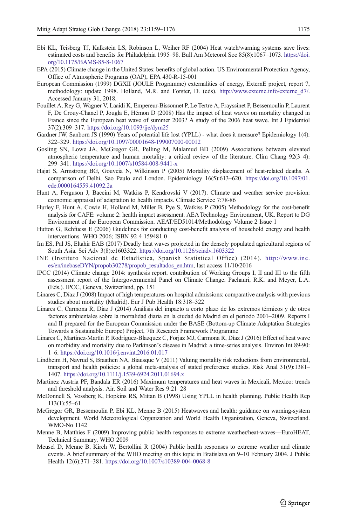- <span id="page-16-0"></span>Ebi KL, Teisberg TJ, Kalkstein LS, Robinson L, Weiher RF (2004) Heat watch/warning systems save lives: estimated costs and benefits for Philadelphia 1995–98. Bull Am Meteorol Soc 85(8):1067–1073. [https://doi.](https://doi.org/10.1175/BAMS-85-8-1067) [org/10.1175/BAMS-85-8-1067](https://doi.org/10.1175/BAMS-85-8-1067)
- EPA (2015) Climate change in the United States: benefits of global action. US Environmental Protection Agency, Office of Atmospheric Programs (OAP), EPA 430-R-15-001
- European Commission (1999) DGXII (JOULE Programme) externalities of energy, ExternE project, report 7, methodology: update 1998. Holland, M.R. and Forster, D. (eds). [http://www.externe.info/externe\\_d7/.](http://www.externe.info/externe_d7/) Accessed January 31, 2018.
- Fouillet A, Rey G, Wagner V, Laaidi K, Empereur-Bissonnet P, Le Tertre A, Frayssinet P, Bessemoulin P, Laurent F, De Crouy-Chanel P, Jougla E, Hémon D (2008) Has the impact of heat waves on mortality changed in France since the European heat wave of summer 2003? A study of the 2006 heat wave. Int J Epidemiol 37(2):309–317. <https://doi.org/10.1093/ije/dym25>
- Gardner JW, Sanborn JS (1990) Years of potential life lost (YPLL) what does it measure? Epidemiology 1(4): 322–329. <https://doi.org/10.1097/00001648-199007000-00012>
- Gosling SN, Lowe JA, McGregor GR, Pelling M, Malamud BD (2009) Associations between elevated atmospheric temperature and human mortality: a critical review of the literature. Clim Chang 92(3–4): 299–341. <https://doi.org/10.1007/s10584-008-9441-x>
- Hajat S, Armstrong BG, Gouveia N, Wilkinson P (2005) Mortality displacement of heat-related deaths. A comparison of Delhi, Sao Paulo and London. Epidemiology 16(5):613–620. [https://doi.org/10.1097/01.](https://doi.org/10.1097/01.ede.0000164559.41092.2a) [ede.0000164559.41092.2a](https://doi.org/10.1097/01.ede.0000164559.41092.2a)
- Hunt A, Ferguson J, Baccini M, Watkiss P, Kendrovski V (2017). Climate and weather service provision: economic appraisal of adaptation to health impacts. Climate Service 7:78-86
- Hurley F, Hunt A, Cowie H, Holland M, Miller B, Pye S, Watkiss P (2005) Methodology for the cost-benefit analysis for CAFE: volume 2: health impact assessment. AEATechnology Environment, UK. Report to DG Environment of the European Commission. AEAT/ED51014/Methodology Volume 2 Issue 1
- Hutton G, Rehfuess E (2006) Guidelines for conducting cost-benefit analysis of household energy and health interventions. WHO 2006; ISBN 92 4 159481 0
- Im ES, Pal JS, Eltahir EAB (2017) Deadly heat waves projected in the densely populated agricultural regions of South Asia. Sci Adv 3(8):e1603322. <https://doi.org/10.1126/sciadv.1603322>
- INE (Instituto Nacional de Estadística, Spanish Statistical Office) (2014). [http://www.ine.](http://www.ine.es/en/inebaseDYN/propob30278/propob_resultados_en.htm) [es/en/inebaseDYN/propob30278/propob\\_resultados\\_en.htm](http://www.ine.es/en/inebaseDYN/propob30278/propob_resultados_en.htm), last access 11/10/2016
- IPCC (2014) Climate change 2014: synthesis report. contribution of Working Groups I, II and III to the fifth assessment report of the Intergovernmental Panel on Climate Change. Pachauri, R.K. and Meyer, L.A. (Eds.). IPCC, Geneva, Switzerland, pp. 151
- Linares C, Díaz J (2008) Impact of high temperatures on hospital admissions: comparative analysis with previous studies about mortality (Madrid). Eur J Pub Health 18:318–322
- Linares C, Carmona R, Díaz J (2014) Análisis del impacto a corto plazo de los extremos térmicos y de otros factores ambientales sobre la mortalidad diaria en la ciudad de Madrid en el periodo 2001–2009. Reports I and II prepared for the European Commission under the BASE (Bottom-up Climate Adaptation Strategies Towards a Sustainable Europe) Project, 7th Research Framework Programme
- Linares C, Martínez-Martín P, Rodríguez-Blazquez C, Forjaz MJ, Carmona R, Díaz J (2016) Effect of heat wave on morbidity and mortality due to Parkinson's disease in Madrid: a time-series analysis. Environ Int 89-90: 1–6. <https://doi.org/10.1016/j.envint.2016.01.017>
- Lindheim H, Navrud S, Braathen NA, Biausque V (2011) Valuing mortality risk reductions from environmental, transport and health policies: a global meta-analysis of stated preference studies. Risk Anal 31(9):1381– 1407. <https://doi.org/10.1111/j.1539-6924.2011.01694.x>
- Martinez Austria PF, Bandala ER (2016) Maximum temperatures and heat waves in Mexicali, Mexico: trends and threshold analysis. Air, Soil and Water Res 9:21–28
- McDonnell S, Vossberg K, Hopkins RS, Mittan B (1998) Using YPLL in health planning. Public Health Rep 113(1):55–61
- McGregor GR, Bessemoulin P, Ebi KL, Menne B (2015) Heatwaves and health: guidance on warning-system development. World Meteorological Organization and World Health Organization, Geneva, Switzerland. WMO-No 1142
- Menne B, Matthies F (2009) Improving public health responses to extreme weather/heat-waves—EuroHEAT, Technical Summary, WHO 2009
- Meusel D, Menne B, Kirch W, Bertollini R (2004) Public health responses to extreme weather and climate events. A brief summary of the WHO meeting on this topic in Bratislava on 9–10 February 2004. J Public Health 12(6):371–381. <https://doi.org/10.1007/s10389-004-0068-8>